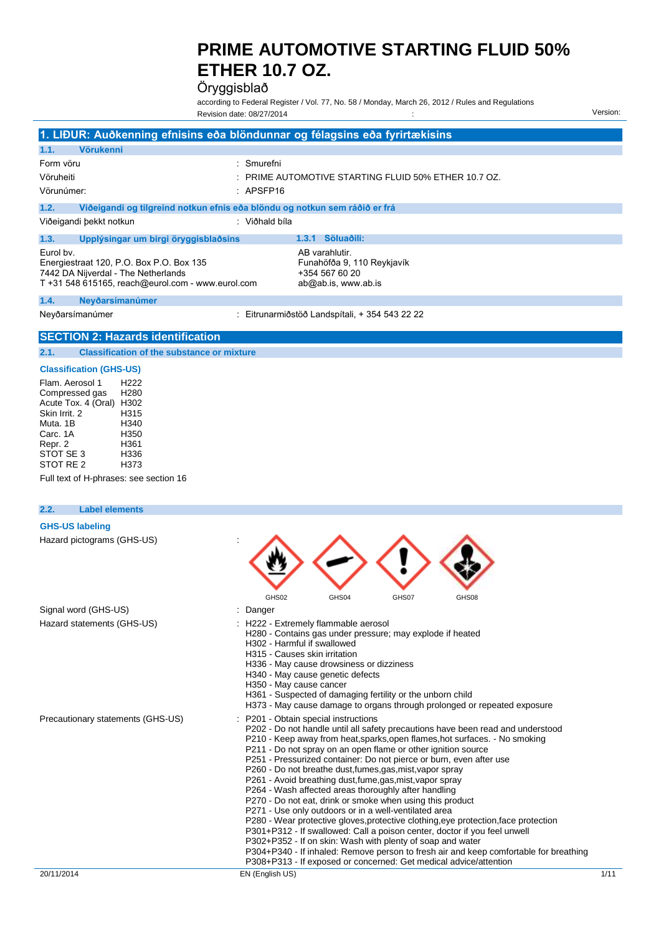Öryggisblað

according to Federal Register / Vol. 77, No. 58 / Monday, March 26, 2012 / Rules and Regulations Revision date: 08/27/2014 Version:

|                                                                                                              |                                                                                          | 1. LIĐUR: Auðkenning efnisins eða blöndunnar og félagsins eða fyrirtækisins           |
|--------------------------------------------------------------------------------------------------------------|------------------------------------------------------------------------------------------|---------------------------------------------------------------------------------------|
| 1.1.<br><b>Vörukenni</b>                                                                                     |                                                                                          |                                                                                       |
| Form vöru<br>Vöruheiti<br>Vörunúmer:                                                                         | : Smurefni<br>$:$ APSFP16                                                                | $:$ PRIME AUTOMOTIVE STARTING FLUID 50% ETHER 10.7 OZ.                                |
| 1.2.                                                                                                         | Viðeigandi og tilgreind notkun efnis eða blöndu og notkun sem ráðið er frá               |                                                                                       |
| Viðeigandi þekkt notkun                                                                                      | : Viðhald bíla                                                                           |                                                                                       |
| 1.3.                                                                                                         | Upplýsingar um birgi öryggisblaðsins                                                     | Söluaðili:<br>1.3.1                                                                   |
| Eurol by.<br>Energiestraat 120, P.O. Box P.O. Box 135<br>7442 DA Nijverdal - The Netherlands                 | T +31 548 615165, reach@eurol.com - www.eurol.com                                        | AB varahlutir.<br>Funahöfða 9, 110 Reykjavík<br>+354 567 60 20<br>ab@ab.is, www.ab.is |
| 1.4.<br>Neyðarsímanúmer                                                                                      |                                                                                          |                                                                                       |
| Neyðarsímanúmer                                                                                              |                                                                                          | Eitrunarmiðstöð Landspítali, + 354 543 22 22                                          |
|                                                                                                              | <b>SECTION 2: Hazards identification</b>                                                 |                                                                                       |
| 2.1.                                                                                                         | <b>Classification of the substance or mixture</b>                                        |                                                                                       |
| <b>Classification (GHS-US)</b>                                                                               |                                                                                          |                                                                                       |
| Flam, Aerosol 1<br>Compressed gas<br>Acute Tox. 4 (Oral)<br>Skin Irrit, 2<br>Muta, 1B<br>Carc. 1A<br>Repr. 2 | H <sub>222</sub><br>H <sub>280</sub><br>H302<br>H315<br>H340<br>H <sub>350</sub><br>H361 |                                                                                       |

Full text of H-phrases: see section 16

#### **2.2. Label elements**

Repr. 2 H361 STOT SE 3 H336 STOT RE 2 H373

| <b>GHS-US labeling</b>            |                                                                                                                                                                                                                                                                                                                                                                                                                                                                                                                                                                                                                                                                                                                                                                                                                                                                                                                                                                                                                                                      |      |
|-----------------------------------|------------------------------------------------------------------------------------------------------------------------------------------------------------------------------------------------------------------------------------------------------------------------------------------------------------------------------------------------------------------------------------------------------------------------------------------------------------------------------------------------------------------------------------------------------------------------------------------------------------------------------------------------------------------------------------------------------------------------------------------------------------------------------------------------------------------------------------------------------------------------------------------------------------------------------------------------------------------------------------------------------------------------------------------------------|------|
| Hazard pictograms (GHS-US)        |                                                                                                                                                                                                                                                                                                                                                                                                                                                                                                                                                                                                                                                                                                                                                                                                                                                                                                                                                                                                                                                      |      |
|                                   | GHS02<br>GHS04<br>GHS07<br>GHS08                                                                                                                                                                                                                                                                                                                                                                                                                                                                                                                                                                                                                                                                                                                                                                                                                                                                                                                                                                                                                     |      |
| Signal word (GHS-US)              | Danger                                                                                                                                                                                                                                                                                                                                                                                                                                                                                                                                                                                                                                                                                                                                                                                                                                                                                                                                                                                                                                               |      |
| Hazard statements (GHS-US)        | H222 - Extremely flammable aerosol<br>H280 - Contains gas under pressure; may explode if heated<br>H302 - Harmful if swallowed<br>H315 - Causes skin irritation<br>H336 - May cause drowsiness or dizziness<br>H340 - May cause genetic defects<br>H350 - May cause cancer<br>H361 - Suspected of damaging fertility or the unborn child<br>H373 - May cause damage to organs through prolonged or repeated exposure                                                                                                                                                                                                                                                                                                                                                                                                                                                                                                                                                                                                                                 |      |
| Precautionary statements (GHS-US) | P201 - Obtain special instructions<br>P202 - Do not handle until all safety precautions have been read and understood<br>P210 - Keep away from heat, sparks, open flames, hot surfaces. - No smoking<br>P211 - Do not spray on an open flame or other ignition source<br>P251 - Pressurized container: Do not pierce or burn, even after use<br>P260 - Do not breathe dust, fumes, gas, mist, vapor spray<br>P261 - Avoid breathing dust, fume, gas, mist, vapor spray<br>P264 - Wash affected areas thoroughly after handling<br>P270 - Do not eat, drink or smoke when using this product<br>P271 - Use only outdoors or in a well-ventilated area<br>P280 - Wear protective gloves, protective clothing, eye protection, face protection<br>P301+P312 - If swallowed: Call a poison center, doctor if you feel unwell<br>P302+P352 - If on skin: Wash with plenty of soap and water<br>P304+P340 - If inhaled: Remove person to fresh air and keep comfortable for breathing<br>P308+P313 - If exposed or concerned: Get medical advice/attention |      |
| 20/11/2014                        | EN (English US)                                                                                                                                                                                                                                                                                                                                                                                                                                                                                                                                                                                                                                                                                                                                                                                                                                                                                                                                                                                                                                      | 1/11 |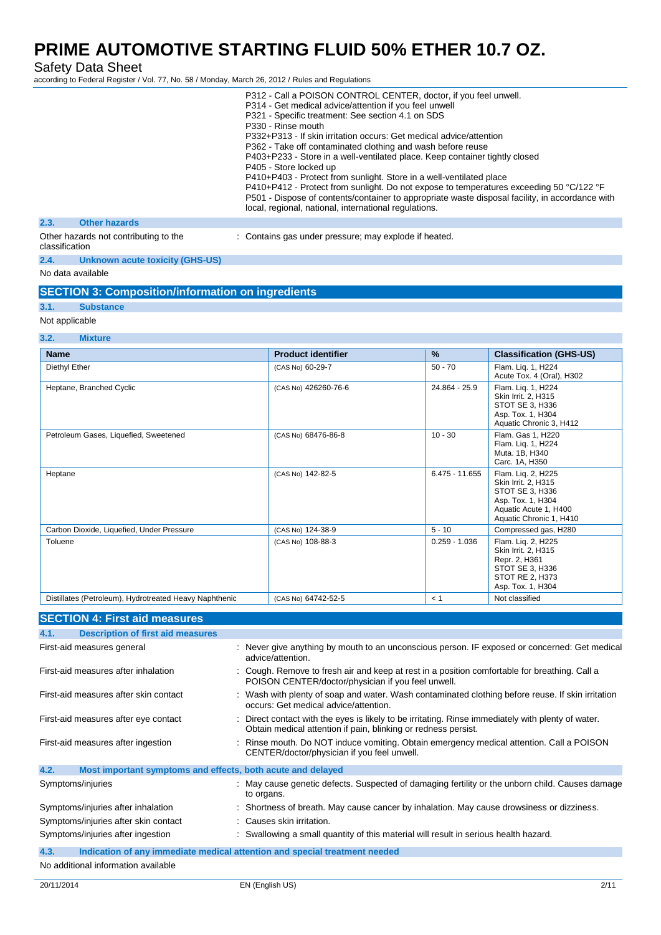Safety Data Sheet

according to Federal Register / Vol. 77, No. 58 / Monday, March 26, 2012 / Rules and Regulations

|                                                         |                                        | P312 - Call a POISON CONTROL CENTER, doctor, if you feel unwell.                                                                                                                                                                                    |
|---------------------------------------------------------|----------------------------------------|-----------------------------------------------------------------------------------------------------------------------------------------------------------------------------------------------------------------------------------------------------|
|                                                         |                                        | P314 - Get medical advice/attention if you feel unwell                                                                                                                                                                                              |
|                                                         |                                        | P321 - Specific treatment: See section 4.1 on SDS                                                                                                                                                                                                   |
|                                                         |                                        | P330 - Rinse mouth                                                                                                                                                                                                                                  |
|                                                         |                                        | P332+P313 - If skin irritation occurs: Get medical advice/attention                                                                                                                                                                                 |
|                                                         |                                        | P362 - Take off contaminated clothing and wash before reuse                                                                                                                                                                                         |
|                                                         |                                        | P403+P233 - Store in a well-ventilated place. Keep container tightly closed                                                                                                                                                                         |
|                                                         |                                        | P405 - Store locked up                                                                                                                                                                                                                              |
|                                                         |                                        | P410+P403 - Protect from sunlight. Store in a well-ventilated place                                                                                                                                                                                 |
|                                                         |                                        | P410+P412 - Protect from sunlight. Do not expose to temperatures exceeding 50 °C/122 °F<br>P501 - Dispose of contents/container to appropriate waste disposal facility, in accordance with<br>local, regional, national, international regulations. |
| 2.3.                                                    | <b>Other hazards</b>                   |                                                                                                                                                                                                                                                     |
| Other hazards not contributing to the<br>classification |                                        | : Contains gas under pressure; may explode if heated.                                                                                                                                                                                               |
| 2.4.                                                    | <b>Unknown acute toxicity (GHS-US)</b> |                                                                                                                                                                                                                                                     |

No data available

|  |  | <b>SECTION 3: Composition/information on ingredients</b> |
|--|--|----------------------------------------------------------|
|--|--|----------------------------------------------------------|

### **3.1. Substance** Not applicable

### **3.2. Mixture**

| J.Z.<br><b>MIAWE</b>                                   |                           |                  |                                                                                                                                       |
|--------------------------------------------------------|---------------------------|------------------|---------------------------------------------------------------------------------------------------------------------------------------|
| <b>Name</b>                                            | <b>Product identifier</b> | $\frac{9}{6}$    | <b>Classification (GHS-US)</b>                                                                                                        |
| Diethyl Ether                                          | (CAS No) 60-29-7          | $50 - 70$        | Flam. Lig. 1, H224<br>Acute Tox. 4 (Oral), H302                                                                                       |
| Heptane, Branched Cyclic                               | (CAS No) 426260-76-6      | 24.864 - 25.9    | Flam. Lig. 1, H224<br>Skin Irrit. 2, H315<br>STOT SE 3, H336<br>Asp. Tox. 1, H304<br>Aquatic Chronic 3, H412                          |
| Petroleum Gases, Liquefied, Sweetened                  | (CAS No) 68476-86-8       | $10 - 30$        | Flam. Gas 1, H220<br>Flam. Lig. 1, H224<br>Muta. 1B, H340<br>Carc. 1A, H350                                                           |
| Heptane                                                | (CAS No) 142-82-5         | $6.475 - 11.655$ | Flam. Lig. 2, H225<br>Skin Irrit. 2, H315<br>STOT SE 3, H336<br>Asp. Tox. 1, H304<br>Aquatic Acute 1, H400<br>Aquatic Chronic 1, H410 |
| Carbon Dioxide, Liquefied, Under Pressure              | (CAS No) 124-38-9         | $5 - 10$         | Compressed gas, H280                                                                                                                  |
| Toluene                                                | (CAS No) 108-88-3         | $0.259 - 1.036$  | Flam. Liq. 2, H225<br>Skin Irrit. 2, H315<br>Repr. 2, H361<br>STOT SE 3, H336<br>STOT RE 2, H373<br>Asp. Tox. 1, H304                 |
| Distillates (Petroleum), Hydrotreated Heavy Naphthenic | (CAS No) 64742-52-5       | < 1              | Not classified                                                                                                                        |

### **SECTION 4: First aid measures**

| <b>Description of first aid measures</b><br>4.1.                    |                                                                                                                                                                    |
|---------------------------------------------------------------------|--------------------------------------------------------------------------------------------------------------------------------------------------------------------|
| First-aid measures general                                          | : Never give anything by mouth to an unconscious person. IF exposed or concerned: Get medical<br>advice/attention.                                                 |
| First-aid measures after inhalation                                 | : Cough. Remove to fresh air and keep at rest in a position comfortable for breathing. Call a<br>POISON CENTER/doctor/physician if you feel unwell.                |
| First-aid measures after skin contact                               | Wash with plenty of soap and water. Wash contaminated clothing before reuse. If skin irritation<br>occurs: Get medical advice/attention.                           |
| First-aid measures after eye contact                                | Direct contact with the eyes is likely to be irritating. Rinse immediately with plenty of water.<br>Obtain medical attention if pain, blinking or redness persist. |
| First-aid measures after ingestion                                  | Rinse mouth. Do NOT induce vomiting. Obtain emergency medical attention. Call a POISON<br>CENTER/doctor/physician if you feel unwell.                              |
| 4.2.<br>Most important symptoms and effects, both acute and delayed |                                                                                                                                                                    |
| Symptoms/injuries                                                   | : May cause genetic defects. Suspected of damaging fertility or the unborn child. Causes damage<br>to organs.                                                      |
| Symptoms/injuries after inhalation                                  | : Shortness of breath. May cause cancer by inhalation. May cause drowsiness or dizziness.                                                                          |
| Symptoms/injuries after skin contact                                | : Causes skin irritation.                                                                                                                                          |
| Symptoms/injuries after ingestion                                   | Swallowing a small quantity of this material will result in serious health hazard.                                                                                 |
| 4.3.                                                                | Indication of any immediate medical attention and special treatment needed                                                                                         |
| No additional information quailable                                 |                                                                                                                                                                    |

No additional information available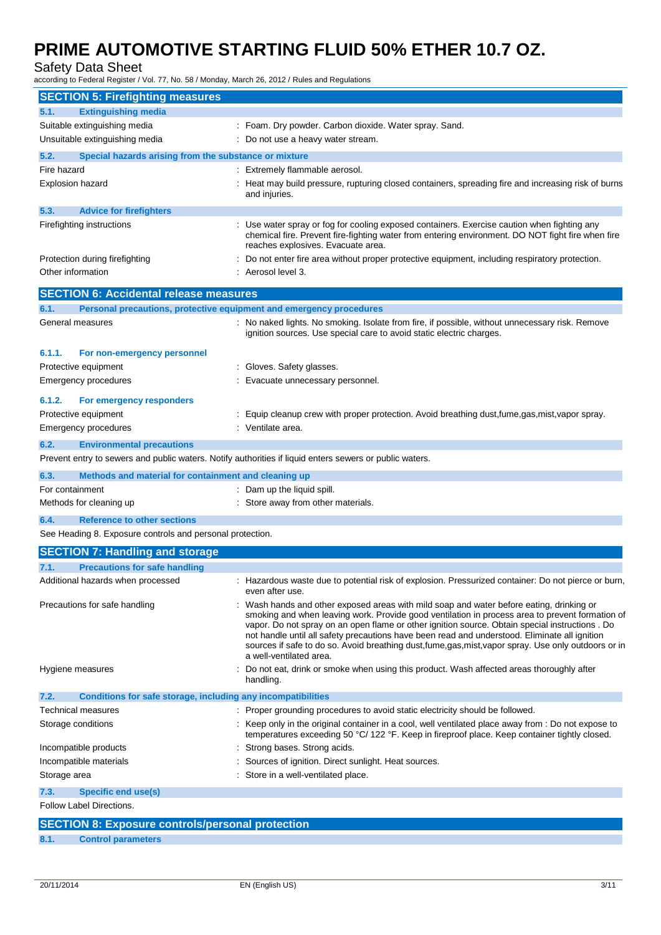Safety Data Sheet

according to Federal Register / Vol. 77, No. 58 / Monday, March 26, 2012 / Rules and Regulations

| <b>SECTION 5: Firefighting measures</b>                                                                 |                                                                                                                                                                                                                                                                                                                                                                                                                                                                                                                                   |
|---------------------------------------------------------------------------------------------------------|-----------------------------------------------------------------------------------------------------------------------------------------------------------------------------------------------------------------------------------------------------------------------------------------------------------------------------------------------------------------------------------------------------------------------------------------------------------------------------------------------------------------------------------|
| <b>Extinguishing media</b><br>5.1.                                                                      |                                                                                                                                                                                                                                                                                                                                                                                                                                                                                                                                   |
| Suitable extinguishing media                                                                            | : Foam. Dry powder. Carbon dioxide. Water spray. Sand.                                                                                                                                                                                                                                                                                                                                                                                                                                                                            |
| Unsuitable extinguishing media                                                                          | Do not use a heavy water stream.                                                                                                                                                                                                                                                                                                                                                                                                                                                                                                  |
| 5.2.<br>Special hazards arising from the substance or mixture                                           |                                                                                                                                                                                                                                                                                                                                                                                                                                                                                                                                   |
| Fire hazard                                                                                             | : Extremely flammable aerosol.                                                                                                                                                                                                                                                                                                                                                                                                                                                                                                    |
| <b>Explosion hazard</b>                                                                                 | Heat may build pressure, rupturing closed containers, spreading fire and increasing risk of burns<br>and injuries.                                                                                                                                                                                                                                                                                                                                                                                                                |
| 5.3.<br><b>Advice for firefighters</b>                                                                  |                                                                                                                                                                                                                                                                                                                                                                                                                                                                                                                                   |
| Firefighting instructions                                                                               | Use water spray or fog for cooling exposed containers. Exercise caution when fighting any<br>chemical fire. Prevent fire-fighting water from entering environment. DO NOT fight fire when fire<br>reaches explosives. Evacuate area.                                                                                                                                                                                                                                                                                              |
| Protection during firefighting                                                                          | Do not enter fire area without proper protective equipment, including respiratory protection.                                                                                                                                                                                                                                                                                                                                                                                                                                     |
| Other information                                                                                       | Aerosol level 3.                                                                                                                                                                                                                                                                                                                                                                                                                                                                                                                  |
| <b>SECTION 6: Accidental release measures</b>                                                           |                                                                                                                                                                                                                                                                                                                                                                                                                                                                                                                                   |
| Personal precautions, protective equipment and emergency procedures<br>6.1.                             |                                                                                                                                                                                                                                                                                                                                                                                                                                                                                                                                   |
| General measures                                                                                        | : No naked lights. No smoking. Isolate from fire, if possible, without unnecessary risk. Remove<br>ignition sources. Use special care to avoid static electric charges.                                                                                                                                                                                                                                                                                                                                                           |
| 6.1.1.<br>For non-emergency personnel                                                                   |                                                                                                                                                                                                                                                                                                                                                                                                                                                                                                                                   |
| Protective equipment                                                                                    | Gloves. Safety glasses.                                                                                                                                                                                                                                                                                                                                                                                                                                                                                                           |
| <b>Emergency procedures</b>                                                                             | Evacuate unnecessary personnel.                                                                                                                                                                                                                                                                                                                                                                                                                                                                                                   |
| 6.1.2.<br>For emergency responders                                                                      |                                                                                                                                                                                                                                                                                                                                                                                                                                                                                                                                   |
| Protective equipment                                                                                    | Equip cleanup crew with proper protection. Avoid breathing dust, fume, gas, mist, vapor spray.                                                                                                                                                                                                                                                                                                                                                                                                                                    |
| Emergency procedures                                                                                    | Ventilate area.                                                                                                                                                                                                                                                                                                                                                                                                                                                                                                                   |
| 6.2.<br><b>Environmental precautions</b>                                                                |                                                                                                                                                                                                                                                                                                                                                                                                                                                                                                                                   |
| Prevent entry to sewers and public waters. Notify authorities if liquid enters sewers or public waters. |                                                                                                                                                                                                                                                                                                                                                                                                                                                                                                                                   |
| 6.3.<br>Methods and material for containment and cleaning up                                            |                                                                                                                                                                                                                                                                                                                                                                                                                                                                                                                                   |
| For containment                                                                                         | : Dam up the liquid spill.                                                                                                                                                                                                                                                                                                                                                                                                                                                                                                        |
| Methods for cleaning up                                                                                 | Store away from other materials.                                                                                                                                                                                                                                                                                                                                                                                                                                                                                                  |
| <b>Reference to other sections</b><br>6.4.                                                              |                                                                                                                                                                                                                                                                                                                                                                                                                                                                                                                                   |
| See Heading 8. Exposure controls and personal protection.                                               |                                                                                                                                                                                                                                                                                                                                                                                                                                                                                                                                   |
| <b>SECTION 7: Handling and storage</b>                                                                  |                                                                                                                                                                                                                                                                                                                                                                                                                                                                                                                                   |
| 7.1.<br><b>Precautions for safe handling</b>                                                            |                                                                                                                                                                                                                                                                                                                                                                                                                                                                                                                                   |
| Additional hazards when processed                                                                       | : Hazardous waste due to potential risk of explosion. Pressurized container: Do not pierce or burn,<br>even after use.                                                                                                                                                                                                                                                                                                                                                                                                            |
| Precautions for safe handling                                                                           | Wash hands and other exposed areas with mild soap and water before eating, drinking or<br>smoking and when leaving work. Provide good ventilation in process area to prevent formation of<br>vapor. Do not spray on an open flame or other ignition source. Obtain special instructions . Do<br>not handle until all safety precautions have been read and understood. Eliminate all ignition<br>sources if safe to do so. Avoid breathing dust, fume, gas, mist, vapor spray. Use only outdoors or in<br>a well-ventilated area. |
| Hygiene measures                                                                                        | Do not eat, drink or smoke when using this product. Wash affected areas thoroughly after<br>handling.                                                                                                                                                                                                                                                                                                                                                                                                                             |
| Conditions for safe storage, including any incompatibilities<br>7.2.                                    |                                                                                                                                                                                                                                                                                                                                                                                                                                                                                                                                   |
| Technical measures                                                                                      | : Proper grounding procedures to avoid static electricity should be followed.                                                                                                                                                                                                                                                                                                                                                                                                                                                     |
| Storage conditions                                                                                      | : Keep only in the original container in a cool, well ventilated place away from : Do not expose to<br>temperatures exceeding 50 °C/ 122 °F. Keep in fireproof place. Keep container tightly closed.                                                                                                                                                                                                                                                                                                                              |
| Incompatible products                                                                                   | Strong bases. Strong acids.                                                                                                                                                                                                                                                                                                                                                                                                                                                                                                       |
| Incompatible materials                                                                                  | Sources of ignition. Direct sunlight. Heat sources.                                                                                                                                                                                                                                                                                                                                                                                                                                                                               |
| Storage area                                                                                            | Store in a well-ventilated place.                                                                                                                                                                                                                                                                                                                                                                                                                                                                                                 |
| <b>Specific end use(s)</b><br>7.3.                                                                      |                                                                                                                                                                                                                                                                                                                                                                                                                                                                                                                                   |
| Follow Label Directions.                                                                                |                                                                                                                                                                                                                                                                                                                                                                                                                                                                                                                                   |
| <b>SECTION 8: Exposure controls/personal protection</b>                                                 |                                                                                                                                                                                                                                                                                                                                                                                                                                                                                                                                   |
|                                                                                                         |                                                                                                                                                                                                                                                                                                                                                                                                                                                                                                                                   |

**8.1. Control parameters**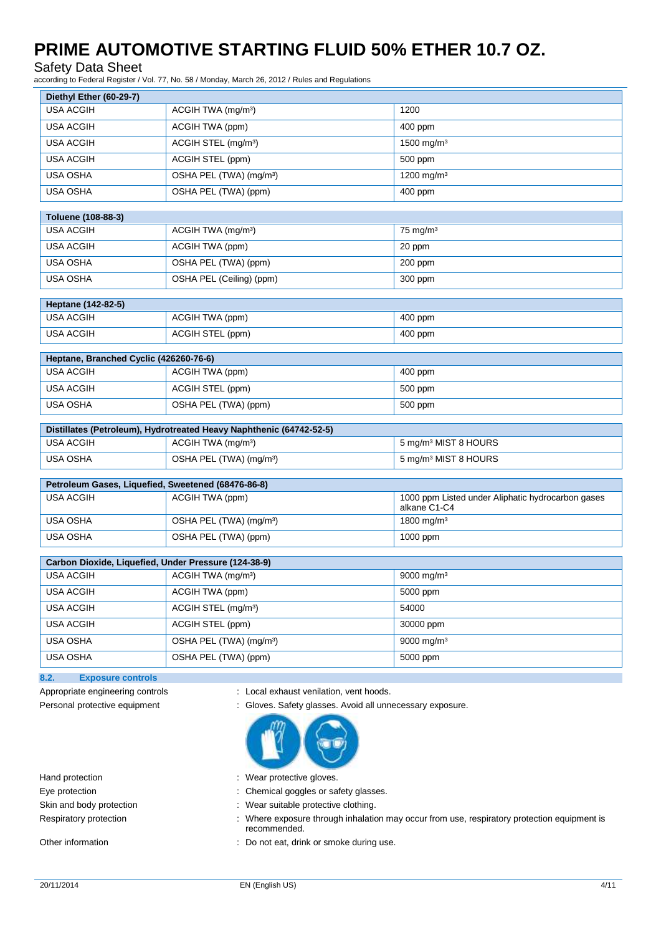### Safety Data Sheet

according to Federal Register / Vol. 77, No. 58 / Monday, March 26, 2012 / Rules and Regulations

| Diethyl Ether (60-29-7)                              |                                                                     |                                                                   |
|------------------------------------------------------|---------------------------------------------------------------------|-------------------------------------------------------------------|
| <b>USA ACGIH</b>                                     | ACGIH TWA (mg/m <sup>3</sup> )                                      | 1200                                                              |
| <b>USA ACGIH</b>                                     | ACGIH TWA (ppm)                                                     | 400 ppm                                                           |
| <b>USA ACGIH</b>                                     | ACGIH STEL (mg/m <sup>3</sup> )                                     | 1500 mg/m <sup>3</sup>                                            |
| <b>USA ACGIH</b>                                     | ACGIH STEL (ppm)                                                    | 500 ppm                                                           |
| <b>USA OSHA</b>                                      | OSHA PEL (TWA) (mg/m <sup>3</sup> )                                 | 1200 mg/m <sup>3</sup>                                            |
| <b>USA OSHA</b>                                      | OSHA PEL (TWA) (ppm)                                                | 400 ppm                                                           |
| Toluene (108-88-3)                                   |                                                                     |                                                                   |
| <b>USA ACGIH</b>                                     | ACGIH TWA (mg/m <sup>3</sup> )                                      | $75 \text{ mg/m}^3$                                               |
| <b>USA ACGIH</b>                                     | ACGIH TWA (ppm)                                                     | 20 ppm                                                            |
| <b>USA OSHA</b>                                      | OSHA PEL (TWA) (ppm)                                                | 200 ppm                                                           |
| <b>USA OSHA</b>                                      | OSHA PEL (Ceiling) (ppm)                                            | 300 ppm                                                           |
|                                                      |                                                                     |                                                                   |
| Heptane (142-82-5)<br><b>USA ACGIH</b>               | ACGIH TWA (ppm)                                                     | 400 ppm                                                           |
| <b>USA ACGIH</b>                                     | ACGIH STEL (ppm)                                                    | 400 ppm                                                           |
|                                                      |                                                                     |                                                                   |
| Heptane, Branched Cyclic (426260-76-6)               |                                                                     |                                                                   |
| <b>USA ACGIH</b>                                     | ACGIH TWA (ppm)                                                     | 400 ppm                                                           |
| <b>USA ACGIH</b>                                     | ACGIH STEL (ppm)                                                    | 500 ppm                                                           |
| <b>USA OSHA</b>                                      | OSHA PEL (TWA) (ppm)                                                | 500 ppm                                                           |
|                                                      | Distillates (Petroleum), Hydrotreated Heavy Naphthenic (64742-52-5) |                                                                   |
| <b>USA ACGIH</b>                                     | ACGIH TWA (mg/m <sup>3</sup> )                                      | 5 mg/m <sup>3</sup> MIST 8 HOURS                                  |
| <b>USA OSHA</b>                                      | OSHA PEL (TWA) (mg/m <sup>3</sup> )                                 | 5 mg/m <sup>3</sup> MIST 8 HOURS                                  |
| Petroleum Gases, Liquefied, Sweetened (68476-86-8)   |                                                                     |                                                                   |
| <b>USA ACGIH</b>                                     | ACGIH TWA (ppm)                                                     | 1000 ppm Listed under Aliphatic hydrocarbon gases<br>alkane C1-C4 |
| <b>USA OSHA</b>                                      | OSHA PEL (TWA) (mg/m <sup>3</sup> )                                 | 1800 mg/m <sup>3</sup>                                            |
| <b>USA OSHA</b>                                      | OSHA PEL (TWA) (ppm)                                                | 1000 ppm                                                          |
| Carbon Dioxide, Liquefied, Under Pressure (124-38-9) |                                                                     |                                                                   |
| <b>USA ACGIH</b>                                     | ACGIH TWA (mg/m <sup>3</sup> )                                      | 9000 mg/m <sup>3</sup>                                            |
| USA ACGIH                                            | <b>ACGIH TWA (ppm)</b>                                              | 5000 ppm                                                          |
| <b>USA ACGIH</b>                                     | ACGIH STEL (mg/m <sup>3</sup> )                                     | 54000                                                             |
| <b>USA ACGIH</b>                                     | ACGIH STEL (ppm)                                                    | 30000 ppm                                                         |
| USA OSHA                                             | OSHA PEL (TWA) (mg/m <sup>3</sup> )                                 | 9000 mg/m <sup>3</sup>                                            |
| USA OSHA                                             | OSHA PEL (TWA) (ppm)                                                | 5000 ppm                                                          |
| 8.2.<br><b>Exposure controls</b>                     |                                                                     |                                                                   |
| Appropriate engineering controls                     | : Local exhaust venilation, vent hoods.                             |                                                                   |

- Personal protective equipment : Gloves. Safety glasses. Avoid all unnecessary exposure.
	-
- Hand protection **in the contract of the contract of the Hand protective gloves.** Wear protective gloves.
- Eye protection  $\blacksquare$  : Chemical goggles or safety glasses.
- Skin and body protection : Wear suitable protective clothing.
- Respiratory protection : Where exposure through inhalation may occur from use, respiratory protection equipment is recommended.
- Other information **COLO 2018** 2018 : Do not eat, drink or smoke during use.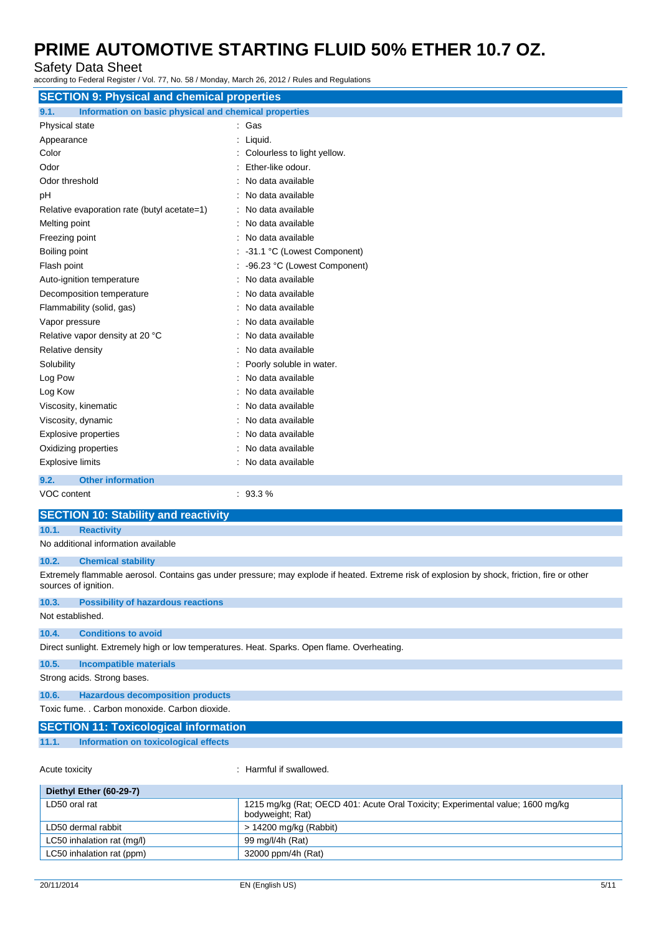Safety Data Sheet

according to Federal Register / Vol. 77, No. 58 / Monday, March 26, 2012 / Rules and Regulations

| <b>SECTION 9: Physical and chemical properties</b>                                          |                                                                                                                                              |  |
|---------------------------------------------------------------------------------------------|----------------------------------------------------------------------------------------------------------------------------------------------|--|
| 9.1.<br>Information on basic physical and chemical properties                               |                                                                                                                                              |  |
| Physical state                                                                              | : Gas                                                                                                                                        |  |
| Appearance                                                                                  | : Liquid.                                                                                                                                    |  |
| Color                                                                                       | : Colourless to light yellow.                                                                                                                |  |
| Odor                                                                                        | Ether-like odour.                                                                                                                            |  |
| Odor threshold                                                                              | No data available                                                                                                                            |  |
| pH                                                                                          | No data available                                                                                                                            |  |
| Relative evaporation rate (butyl acetate=1)                                                 | No data available                                                                                                                            |  |
| Melting point                                                                               | No data available                                                                                                                            |  |
| Freezing point                                                                              | No data available                                                                                                                            |  |
| Boiling point                                                                               | : -31.1 °C (Lowest Component)                                                                                                                |  |
| Flash point                                                                                 | -96.23 °C (Lowest Component)                                                                                                                 |  |
| Auto-ignition temperature                                                                   | No data available                                                                                                                            |  |
| Decomposition temperature                                                                   | No data available                                                                                                                            |  |
| Flammability (solid, gas)                                                                   | No data available                                                                                                                            |  |
| Vapor pressure                                                                              | No data available                                                                                                                            |  |
| Relative vapor density at 20 °C                                                             | No data available                                                                                                                            |  |
| Relative density                                                                            | No data available                                                                                                                            |  |
| Solubility                                                                                  | Poorly soluble in water.                                                                                                                     |  |
| Log Pow                                                                                     | : No data available                                                                                                                          |  |
| Log Kow                                                                                     | No data available                                                                                                                            |  |
| Viscosity, kinematic                                                                        | No data available                                                                                                                            |  |
| Viscosity, dynamic                                                                          | No data available                                                                                                                            |  |
| Explosive properties                                                                        | No data available                                                                                                                            |  |
| Oxidizing properties                                                                        | No data available                                                                                                                            |  |
| <b>Explosive limits</b>                                                                     | : No data available                                                                                                                          |  |
| 9.2.<br><b>Other information</b>                                                            |                                                                                                                                              |  |
| VOC content                                                                                 | : 93.3%                                                                                                                                      |  |
| <b>SECTION 10: Stability and reactivity</b>                                                 |                                                                                                                                              |  |
| 10.1.<br><b>Reactivity</b>                                                                  |                                                                                                                                              |  |
| No additional information available                                                         |                                                                                                                                              |  |
| 10.2.<br><b>Chemical stability</b>                                                          |                                                                                                                                              |  |
| sources of ignition.                                                                        | Extremely flammable aerosol. Contains gas under pressure; may explode if heated. Extreme risk of explosion by shock, friction, fire or other |  |
| 10.3.<br><b>Possibility of hazardous reactions</b>                                          |                                                                                                                                              |  |
| Not established.                                                                            |                                                                                                                                              |  |
| <b>Conditions to avoid</b><br>10.4.                                                         |                                                                                                                                              |  |
| Direct sunlight. Extremely high or low temperatures. Heat. Sparks. Open flame. Overheating. |                                                                                                                                              |  |
| 10.5.<br><b>Incompatible materials</b>                                                      |                                                                                                                                              |  |
| Strong acids. Strong bases.                                                                 |                                                                                                                                              |  |
| 10.6.<br><b>Hazardous decomposition products</b>                                            |                                                                                                                                              |  |
| Toxic fume. . Carbon monoxide. Carbon dioxide.                                              |                                                                                                                                              |  |
| <b>SECTION 11: Toxicological information</b>                                                |                                                                                                                                              |  |
| 11.1.<br>Information on toxicological effects                                               |                                                                                                                                              |  |
|                                                                                             |                                                                                                                                              |  |
| Acute toxicity                                                                              | : Harmful if swallowed.                                                                                                                      |  |
| Diethyl Ether (60-29-7)                                                                     |                                                                                                                                              |  |
| LD50 oral rat                                                                               | 1215 mg/kg (Rat; OECD 401: Acute Oral Toxicity; Experimental value; 1600 mg/kg                                                               |  |

| LD50 oral rat              | 1215 mg/kg (Rat: OECD 401: Acute Oral Toxicity: Experimental value: 1600 mg/kg<br>bodyweight; Rat) |
|----------------------------|----------------------------------------------------------------------------------------------------|
| LD50 dermal rabbit         | > 14200 mg/kg (Rabbit)                                                                             |
| LC50 inhalation rat (mg/l) | 99 mg/l/4h (Rat)                                                                                   |
| LC50 inhalation rat (ppm)  | 32000 ppm/4h (Rat)                                                                                 |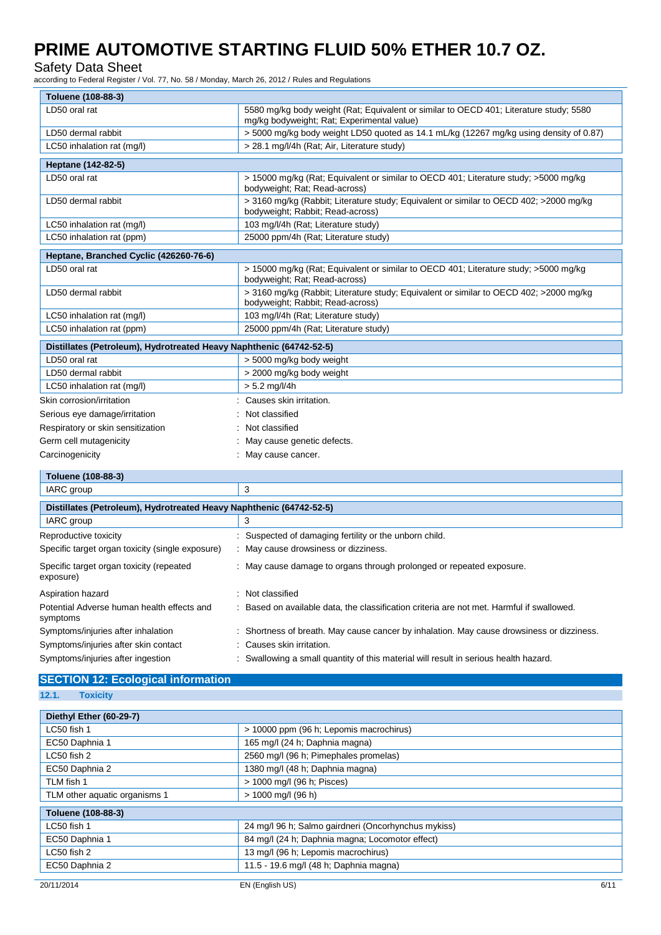### Safety Data Sheet

according to Federal Register / Vol. 77, No. 58 / Monday, March 26, 2012 / Rules and Regulations

| Toluene (108-88-3)                                                  |                                                                                                                                      |  |
|---------------------------------------------------------------------|--------------------------------------------------------------------------------------------------------------------------------------|--|
| LD50 oral rat                                                       | 5580 mg/kg body weight (Rat: Equivalent or similar to OECD 401; Literature study; 5580<br>mg/kg bodyweight; Rat; Experimental value) |  |
| LD50 dermal rabbit                                                  | > 5000 mg/kg body weight LD50 quoted as 14.1 mL/kg (12267 mg/kg using density of 0.87)                                               |  |
| LC50 inhalation rat (mg/l)                                          | > 28.1 mg/l/4h (Rat; Air, Literature study)                                                                                          |  |
| Heptane (142-82-5)                                                  |                                                                                                                                      |  |
| LD50 oral rat                                                       | > 15000 mg/kg (Rat; Equivalent or similar to OECD 401; Literature study; >5000 mg/kg<br>bodyweight; Rat; Read-across)                |  |
| LD50 dermal rabbit                                                  | > 3160 mg/kg (Rabbit; Literature study; Equivalent or similar to OECD 402; >2000 mg/kg<br>bodyweight; Rabbit; Read-across)           |  |
| LC50 inhalation rat (mg/l)                                          | 103 mg/l/4h (Rat; Literature study)                                                                                                  |  |
| LC50 inhalation rat (ppm)                                           | 25000 ppm/4h (Rat: Literature study)                                                                                                 |  |
| Heptane, Branched Cyclic (426260-76-6)                              |                                                                                                                                      |  |
| LD50 oral rat                                                       | > 15000 mg/kg (Rat; Equivalent or similar to OECD 401; Literature study; >5000 mg/kg<br>bodyweight; Rat; Read-across)                |  |
| LD50 dermal rabbit                                                  | > 3160 mg/kg (Rabbit; Literature study; Equivalent or similar to OECD 402; > 2000 mg/kg<br>bodyweight; Rabbit; Read-across)          |  |
| LC50 inhalation rat (mg/l)                                          | 103 mg/l/4h (Rat; Literature study)                                                                                                  |  |
| LC50 inhalation rat (ppm)                                           | 25000 ppm/4h (Rat: Literature study)                                                                                                 |  |
| Distillates (Petroleum), Hydrotreated Heavy Naphthenic (64742-52-5) |                                                                                                                                      |  |
| LD50 oral rat                                                       | > 5000 mg/kg body weight                                                                                                             |  |
| LD50 dermal rabbit                                                  | > 2000 mg/kg body weight                                                                                                             |  |
| LC50 inhalation rat (mg/l)                                          | $> 5.2$ mg/l/4h                                                                                                                      |  |
| Skin corrosion/irritation                                           | Causes skin irritation.                                                                                                              |  |
| Serious eye damage/irritation                                       | Not classified                                                                                                                       |  |
| Respiratory or skin sensitization                                   | Not classified                                                                                                                       |  |
| Germ cell mutagenicity                                              | May cause genetic defects.                                                                                                           |  |
| Carcinogenicity                                                     | May cause cancer.                                                                                                                    |  |
| Toluene (108-88-3)                                                  |                                                                                                                                      |  |
| IARC group                                                          | 3                                                                                                                                    |  |

| . <i>.</i>                                                          |                                                                                         |  |  |
|---------------------------------------------------------------------|-----------------------------------------------------------------------------------------|--|--|
| Distillates (Petroleum), Hydrotreated Heavy Naphthenic (64742-52-5) |                                                                                         |  |  |
| IARC group                                                          | 3                                                                                       |  |  |
| Reproductive toxicity                                               | Suspected of damaging fertility or the unborn child.                                    |  |  |
| Specific target organ toxicity (single exposure)                    | : May cause drowsiness or dizziness.                                                    |  |  |
| Specific target organ toxicity (repeated<br>exposure)               | : May cause damage to organs through prolonged or repeated exposure.                    |  |  |
| Aspiration hazard                                                   | Not classified                                                                          |  |  |
| Potential Adverse human health effects and<br>symptoms              | Based on available data, the classification criteria are not met. Harmful if swallowed. |  |  |
| Symptoms/injuries after inhalation                                  | Shortness of breath. May cause cancer by inhalation. May cause drowsiness or dizziness. |  |  |
| Symptoms/injuries after skin contact                                | : Causes skin irritation.                                                               |  |  |
| Symptoms/injuries after ingestion                                   | Swallowing a small quantity of this material will result in serious health hazard.      |  |  |

### **SECTION 12: Ecological information**

**12.1. Toxicity**

| Diethyl Ether (60-29-7)       |                                                     |  |
|-------------------------------|-----------------------------------------------------|--|
| LC50 fish 1                   | > 10000 ppm (96 h; Lepomis macrochirus)             |  |
| EC50 Daphnia 1                | 165 mg/l (24 h; Daphnia magna)                      |  |
| LC50 fish 2                   | 2560 mg/l (96 h; Pimephales promelas)               |  |
| EC50 Daphnia 2                | 1380 mg/l (48 h; Daphnia magna)                     |  |
| TLM fish 1                    | > 1000 mg/l (96 h; Pisces)                          |  |
| TLM other aquatic organisms 1 | $> 1000$ mg/l (96 h)                                |  |
| Toluene (108-88-3)            |                                                     |  |
| LC50 fish 1                   | 24 mg/l 96 h; Salmo gairdneri (Oncorhynchus mykiss) |  |
| EC50 Daphnia 1                | 84 mg/l (24 h; Daphnia magna; Locomotor effect)     |  |
| LC50 fish 2                   | 13 mg/l (96 h; Lepomis macrochirus)                 |  |
| EC50 Daphnia 2                | 11.5 - 19.6 mg/l (48 h; Daphnia magna)              |  |
|                               |                                                     |  |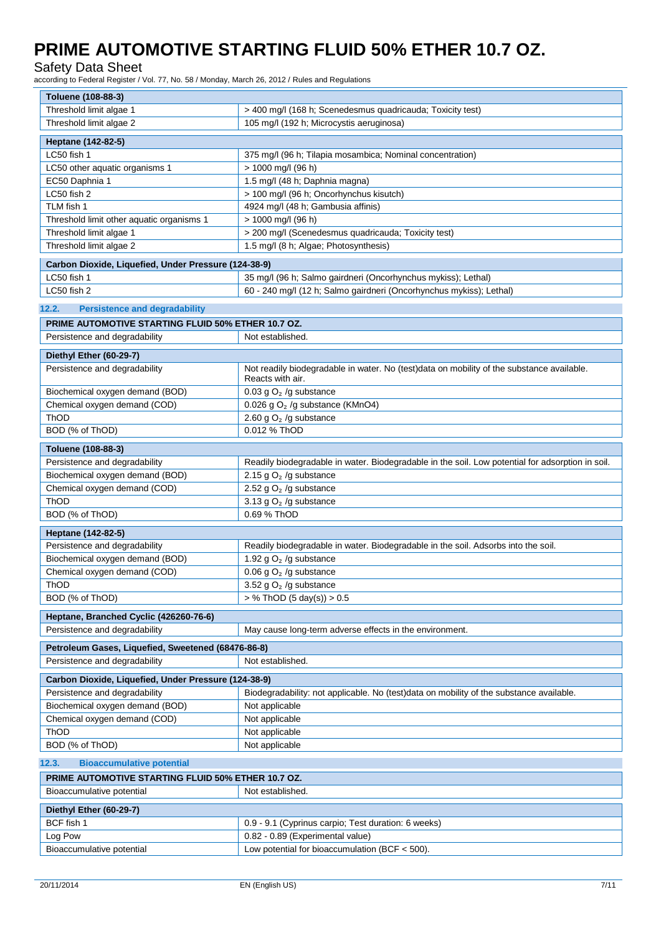Safety Data Sheet

according to Federal Register / Vol. 77, No. 58 / Monday, March 26, 2012 / Rules and Regulations

| Toluene (108-88-3)                                                                  |                                                                                                               |  |
|-------------------------------------------------------------------------------------|---------------------------------------------------------------------------------------------------------------|--|
| Threshold limit algae 1                                                             | > 400 mg/l (168 h; Scenedesmus quadricauda; Toxicity test)                                                    |  |
| Threshold limit algae 2                                                             | 105 mg/l (192 h; Microcystis aeruginosa)                                                                      |  |
| Heptane (142-82-5)                                                                  |                                                                                                               |  |
| LC50 fish 1                                                                         | 375 mg/l (96 h; Tilapia mosambica; Nominal concentration)                                                     |  |
| LC50 other aquatic organisms 1                                                      | > 1000 mg/l (96 h)                                                                                            |  |
| EC50 Daphnia 1                                                                      | 1.5 mg/l (48 h; Daphnia magna)                                                                                |  |
| LC50 fish 2                                                                         | > 100 mg/l (96 h; Oncorhynchus kisutch)                                                                       |  |
| TLM fish 1                                                                          | 4924 mg/l (48 h; Gambusia affinis)                                                                            |  |
| Threshold limit other aquatic organisms 1                                           | > 1000 mg/l (96 h)                                                                                            |  |
| Threshold limit algae 1                                                             | > 200 mg/l (Scenedesmus quadricauda; Toxicity test)                                                           |  |
| Threshold limit algae 2                                                             | 1.5 mg/l (8 h; Algae; Photosynthesis)                                                                         |  |
| Carbon Dioxide, Liquefied, Under Pressure (124-38-9)                                |                                                                                                               |  |
| LC50 fish 1                                                                         | 35 mg/l (96 h; Salmo gairdneri (Oncorhynchus mykiss); Lethal)                                                 |  |
| LC50 fish 2                                                                         | 60 - 240 mg/l (12 h; Salmo gairdneri (Oncorhynchus mykiss); Lethal)                                           |  |
| 12.2.<br><b>Persistence and degradability</b>                                       |                                                                                                               |  |
| PRIME AUTOMOTIVE STARTING FLUID 50% ETHER 10.7 OZ.                                  |                                                                                                               |  |
| Persistence and degradability                                                       | Not established.                                                                                              |  |
|                                                                                     |                                                                                                               |  |
| Diethyl Ether (60-29-7)                                                             |                                                                                                               |  |
| Persistence and degradability                                                       | Not readily biodegradable in water. No (test)data on mobility of the substance available.<br>Reacts with air. |  |
| Biochemical oxygen demand (BOD)                                                     | 0.03 g $O2$ /g substance                                                                                      |  |
| Chemical oxygen demand (COD)                                                        | 0.026 g $O2$ /g substance (KMnO4)                                                                             |  |
| ThOD                                                                                | 2.60 g $O2$ /g substance                                                                                      |  |
| BOD (% of ThOD)                                                                     | 0.012 % ThOD                                                                                                  |  |
| Toluene (108-88-3)                                                                  |                                                                                                               |  |
| Persistence and degradability                                                       | Readily biodegradable in water. Biodegradable in the soil. Low potential for adsorption in soil.              |  |
| Biochemical oxygen demand (BOD)                                                     | 2.15 g $O2$ /g substance                                                                                      |  |
| Chemical oxygen demand (COD)                                                        | 2.52 g $O2$ /g substance                                                                                      |  |
| ThOD                                                                                | 3.13 g $O2$ /g substance                                                                                      |  |
| BOD (% of ThOD)                                                                     | 0.69 % ThOD                                                                                                   |  |
| Heptane (142-82-5)                                                                  |                                                                                                               |  |
| Persistence and degradability                                                       | Readily biodegradable in water. Biodegradable in the soil. Adsorbs into the soil.                             |  |
| Biochemical oxygen demand (BOD)                                                     | 1.92 g $O2$ /g substance                                                                                      |  |
| Chemical oxygen demand (COD)                                                        | 0.06 g $O2$ /g substance                                                                                      |  |
| ThOD                                                                                | 3.52 g $O2$ /g substance                                                                                      |  |
| BOD (% of ThOD)                                                                     | > % ThOD (5 day(s)) > 0.5                                                                                     |  |
| Heptane, Branched Cyclic (426260-76-6)                                              |                                                                                                               |  |
| Persistence and degradability                                                       | May cause long-term adverse effects in the environment.                                                       |  |
|                                                                                     |                                                                                                               |  |
| Petroleum Gases, Liquefied, Sweetened (68476-86-8)<br>Persistence and degradability | Not established.                                                                                              |  |
| Carbon Dioxide, Liquefied, Under Pressure (124-38-9)                                |                                                                                                               |  |
| Persistence and degradability                                                       | Biodegradability: not applicable. No (test)data on mobility of the substance available.                       |  |
| Biochemical oxygen demand (BOD)                                                     | Not applicable                                                                                                |  |
| Chemical oxygen demand (COD)                                                        | Not applicable                                                                                                |  |
| ThOD                                                                                | Not applicable                                                                                                |  |
| BOD (% of ThOD)                                                                     | Not applicable                                                                                                |  |
|                                                                                     |                                                                                                               |  |
| <b>Bioaccumulative potential</b><br>12.3.                                           |                                                                                                               |  |
| PRIME AUTOMOTIVE STARTING FLUID 50% ETHER 10.7 OZ.                                  |                                                                                                               |  |
| Bioaccumulative potential                                                           | Not established.                                                                                              |  |
| Diethyl Ether (60-29-7)                                                             |                                                                                                               |  |
| BCF fish 1                                                                          | 0.9 - 9.1 (Cyprinus carpio; Test duration: 6 weeks)                                                           |  |
| Log Pow                                                                             | 0.82 - 0.89 (Experimental value)                                                                              |  |
| Bioaccumulative potential                                                           | Low potential for bioaccumulation (BCF $<$ 500).                                                              |  |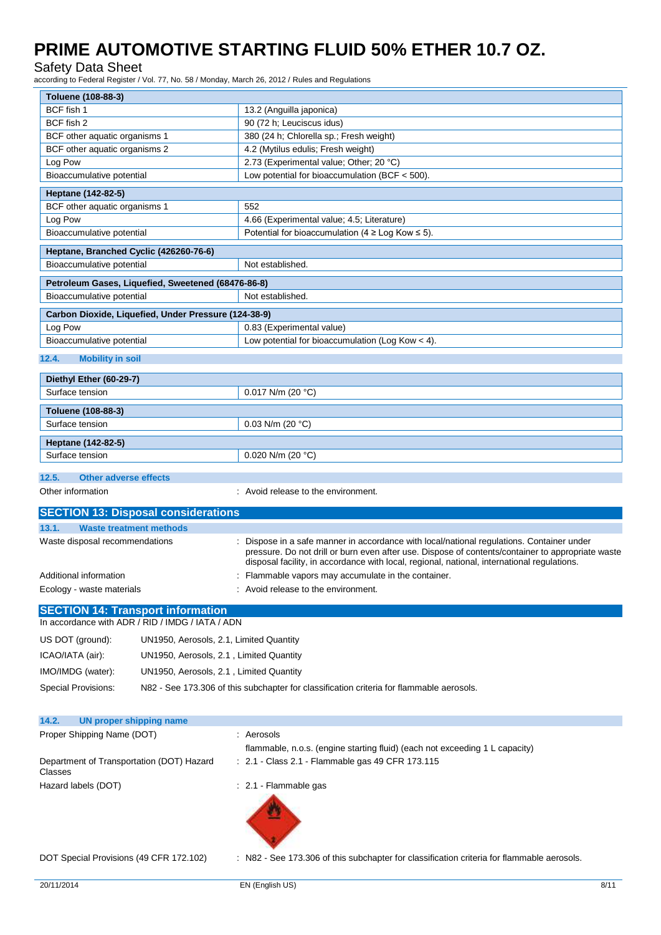Safety Data Sheet

according to Federal Register / Vol. 77, No. 58 / Monday, March 26, 2012 / Rules and Regulations

| Toluene (108-88-3)                                                                           |                                                                                                                                                                                              |  |
|----------------------------------------------------------------------------------------------|----------------------------------------------------------------------------------------------------------------------------------------------------------------------------------------------|--|
| BCF fish 1                                                                                   | 13.2 (Anguilla japonica)                                                                                                                                                                     |  |
| BCF fish 2                                                                                   | 90 (72 h; Leuciscus idus)                                                                                                                                                                    |  |
| BCF other aquatic organisms 1                                                                | 380 (24 h; Chlorella sp.; Fresh weight)                                                                                                                                                      |  |
| BCF other aquatic organisms 2                                                                | 4.2 (Mytilus edulis; Fresh weight)                                                                                                                                                           |  |
| Log Pow                                                                                      | 2.73 (Experimental value; Other; 20 °C)                                                                                                                                                      |  |
| Bioaccumulative potential                                                                    | Low potential for bioaccumulation (BCF $<$ 500).                                                                                                                                             |  |
| Heptane (142-82-5)                                                                           |                                                                                                                                                                                              |  |
| BCF other aquatic organisms 1                                                                | 552                                                                                                                                                                                          |  |
| Log Pow                                                                                      | 4.66 (Experimental value; 4.5; Literature)                                                                                                                                                   |  |
| Bioaccumulative potential                                                                    | Potential for bioaccumulation (4 $\geq$ Log Kow $\leq$ 5).                                                                                                                                   |  |
| Heptane, Branched Cyclic (426260-76-6)                                                       |                                                                                                                                                                                              |  |
| Bioaccumulative potential                                                                    | Not established.                                                                                                                                                                             |  |
| Petroleum Gases, Liquefied, Sweetened (68476-86-8)                                           |                                                                                                                                                                                              |  |
| Bioaccumulative potential                                                                    | Not established.                                                                                                                                                                             |  |
| Carbon Dioxide, Liquefied, Under Pressure (124-38-9)                                         |                                                                                                                                                                                              |  |
| Log Pow                                                                                      | 0.83 (Experimental value)                                                                                                                                                                    |  |
| Bioaccumulative potential                                                                    | Low potential for bioaccumulation (Log Kow < 4).                                                                                                                                             |  |
| 12.4.<br><b>Mobility in soil</b>                                                             |                                                                                                                                                                                              |  |
|                                                                                              |                                                                                                                                                                                              |  |
| Diethyl Ether (60-29-7)                                                                      |                                                                                                                                                                                              |  |
| Surface tension                                                                              | 0.017 N/m (20 $^{\circ}$ C)                                                                                                                                                                  |  |
| Toluene (108-88-3)                                                                           |                                                                                                                                                                                              |  |
| Surface tension                                                                              | 0.03 N/m (20 $°C$ )                                                                                                                                                                          |  |
| Heptane (142-82-5)                                                                           |                                                                                                                                                                                              |  |
| Surface tension                                                                              | 0.020 N/m (20 $°C$ )                                                                                                                                                                         |  |
|                                                                                              |                                                                                                                                                                                              |  |
| 12.5.<br><b>Other adverse effects</b>                                                        |                                                                                                                                                                                              |  |
| Other information                                                                            | : Avoid release to the environment.                                                                                                                                                          |  |
| <b>SECTION 13: Disposal considerations</b>                                                   |                                                                                                                                                                                              |  |
| 13.1.<br><b>Waste treatment methods</b>                                                      |                                                                                                                                                                                              |  |
| Waste disposal recommendations                                                               | Dispose in a safe manner in accordance with local/national regulations. Container under<br>pressure. Do not drill or burn even after use. Dispose of contents/container to appropriate waste |  |
|                                                                                              | disposal facility, in accordance with local, regional, national, international regulations.                                                                                                  |  |
| Additional information                                                                       | : Flammable vapors may accumulate in the container.                                                                                                                                          |  |
| Ecology - waste materials                                                                    | Avoid release to the environment.                                                                                                                                                            |  |
| <b>SECTION 14: Transport information</b><br>In accordance with ADR / RID / IMDG / IATA / ADN |                                                                                                                                                                                              |  |
| US DOT (ground):<br>UN1950, Aerosols, 2.1, Limited Quantity                                  |                                                                                                                                                                                              |  |
| ICAO/IATA (air):<br>UN1950, Aerosols, 2.1, Limited Quantity                                  |                                                                                                                                                                                              |  |
|                                                                                              |                                                                                                                                                                                              |  |
| IMO/IMDG (water):<br>UN1950, Aerosols, 2.1, Limited Quantity                                 |                                                                                                                                                                                              |  |
| <b>Special Provisions:</b>                                                                   | N82 - See 173.306 of this subchapter for classification criteria for flammable aerosols.                                                                                                     |  |
| 14.2.<br><b>UN proper shipping name</b>                                                      |                                                                                                                                                                                              |  |
| Proper Shipping Name (DOT)                                                                   | : Aerosols                                                                                                                                                                                   |  |
| Department of Transportation (DOT) Hazard                                                    | flammable, n.o.s. (engine starting fluid) (each not exceeding 1 L capacity)<br>: 2.1 - Class 2.1 - Flammable gas 49 CFR 173.115                                                              |  |
| Classes                                                                                      |                                                                                                                                                                                              |  |
| Hazard labels (DOT)                                                                          | : 2.1 Flammable gas                                                                                                                                                                          |  |
|                                                                                              |                                                                                                                                                                                              |  |

DOT Special Provisions (49 CFR 172.102) : N82 - See 173.306 of this subchapter for classification criteria for flammable aerosols.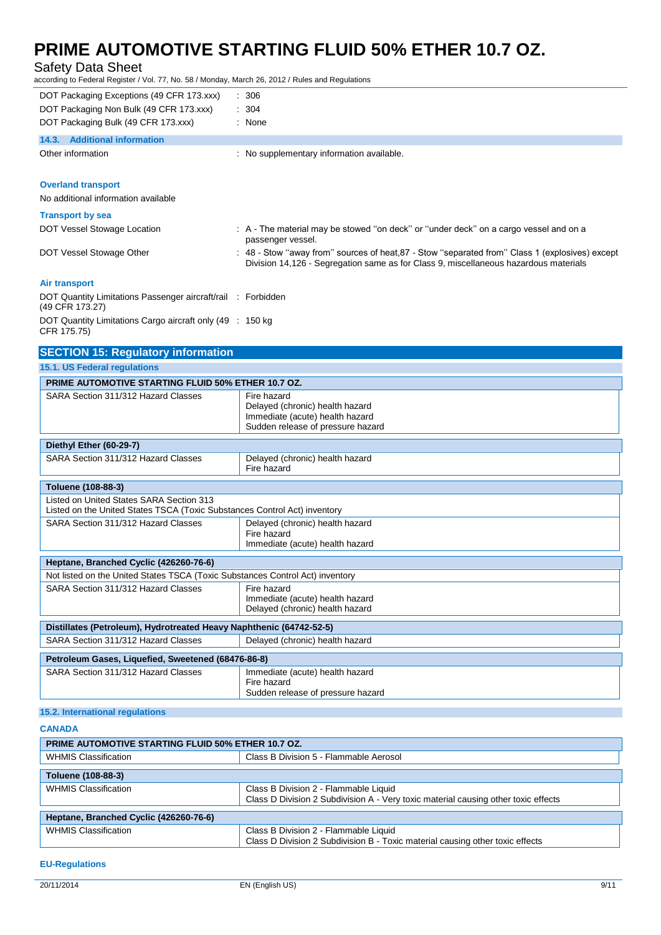### Safety Data Sheet

according to Federal Register / Vol. 77, No. 58 / Monday, March 26, 2012 / Rules and Regulations

| DOT Packaging Exceptions (49 CFR 173.xxx)                                       | $\therefore$ 306                                                                                                                                                                        |
|---------------------------------------------------------------------------------|-----------------------------------------------------------------------------------------------------------------------------------------------------------------------------------------|
| DOT Packaging Non Bulk (49 CFR 173.xxx)                                         | : 304                                                                                                                                                                                   |
| DOT Packaging Bulk (49 CFR 173.xxx)                                             | : None                                                                                                                                                                                  |
| 14.3. Additional information                                                    |                                                                                                                                                                                         |
| Other information                                                               | No supplementary information available.                                                                                                                                                 |
|                                                                                 |                                                                                                                                                                                         |
| <b>Overland transport</b>                                                       |                                                                                                                                                                                         |
| No additional information available                                             |                                                                                                                                                                                         |
| <b>Transport by sea</b>                                                         |                                                                                                                                                                                         |
| DOT Vessel Stowage Location                                                     | : A - The material may be stowed "on deck" or "under deck" on a cargo vessel and on a<br>passenger vessel.                                                                              |
| DOT Vessel Stowage Other                                                        | : 48 - Stow "away from" sources of heat, 87 - Stow "separated from" Class 1 (explosives) except<br>Division 14,126 - Segregation same as for Class 9, miscellaneous hazardous materials |
| <b>Air transport</b>                                                            |                                                                                                                                                                                         |
| DOT Quantity Limitations Passenger aircraft/rail : Forbidden<br>(49 CFR 173.27) |                                                                                                                                                                                         |
| DOT Quantity Limitations Cargo aircraft only (49 : 150 kg)<br>CFR 175.75)       |                                                                                                                                                                                         |
| <b>SECTION 15: Regulatory information</b>                                       |                                                                                                                                                                                         |
| <b>15.1. US Federal regulations</b>                                             |                                                                                                                                                                                         |
| <b>PRIME AUTOMOTIVE STARTING FLUID 50% ETHER 10.7 OZ.</b>                       |                                                                                                                                                                                         |
| SARA Section 311/312 Hazard Classes                                             | Fire hazard<br>Delayed (chronic) health hazard<br>Immediate (acute) health hazard                                                                                                       |

|                                                                                                                       | immediate (acute) nealth nazaru<br>Sudden release of pressure hazard                |  |
|-----------------------------------------------------------------------------------------------------------------------|-------------------------------------------------------------------------------------|--|
|                                                                                                                       |                                                                                     |  |
| Diethyl Ether (60-29-7)                                                                                               |                                                                                     |  |
| SARA Section 311/312 Hazard Classes                                                                                   | Delayed (chronic) health hazard<br>Fire hazard                                      |  |
|                                                                                                                       |                                                                                     |  |
| Toluene (108-88-3)                                                                                                    |                                                                                     |  |
| Listed on United States SARA Section 313<br>Listed on the United States TSCA (Toxic Substances Control Act) inventory |                                                                                     |  |
| SARA Section 311/312 Hazard Classes                                                                                   | Delayed (chronic) health hazard<br>Fire hazard<br>Immediate (acute) health hazard   |  |
|                                                                                                                       |                                                                                     |  |
| Heptane, Branched Cyclic (426260-76-6)                                                                                |                                                                                     |  |
| Not listed on the United States TSCA (Toxic Substances Control Act) inventory                                         |                                                                                     |  |
| SARA Section 311/312 Hazard Classes                                                                                   | Fire hazard                                                                         |  |
|                                                                                                                       | Immediate (acute) health hazard<br>Delayed (chronic) health hazard                  |  |
|                                                                                                                       |                                                                                     |  |
| Distillates (Petroleum), Hydrotreated Heavy Naphthenic (64742-52-5)                                                   |                                                                                     |  |
| SARA Section 311/312 Hazard Classes                                                                                   | Delayed (chronic) health hazard                                                     |  |
| Petroleum Gases, Liquefied, Sweetened (68476-86-8)                                                                    |                                                                                     |  |
| SARA Section 311/312 Hazard Classes                                                                                   | Immediate (acute) health hazard<br>Fire hazard<br>Sudden release of pressure hazard |  |

### **15.2. International regulations**

#### **CANADA**

| <b>PRIME AUTOMOTIVE STARTING FLUID 50% ETHER 10.7 OZ.</b> |                                                                                                                             |  |
|-----------------------------------------------------------|-----------------------------------------------------------------------------------------------------------------------------|--|
| <b>WHMIS Classification</b>                               | Class B Division 5 - Flammable Aerosol                                                                                      |  |
| Toluene (108-88-3)                                        |                                                                                                                             |  |
| <b>WHMIS Classification</b>                               | Class B Division 2 - Flammable Liquid<br>Class D Division 2 Subdivision A - Very toxic material causing other toxic effects |  |
| Heptane, Branched Cyclic (426260-76-6)                    |                                                                                                                             |  |
| <b>WHMIS Classification</b>                               | Class B Division 2 - Flammable Liquid<br>Class D Division 2 Subdivision B - Toxic material causing other toxic effects      |  |

#### **EU-Regulations**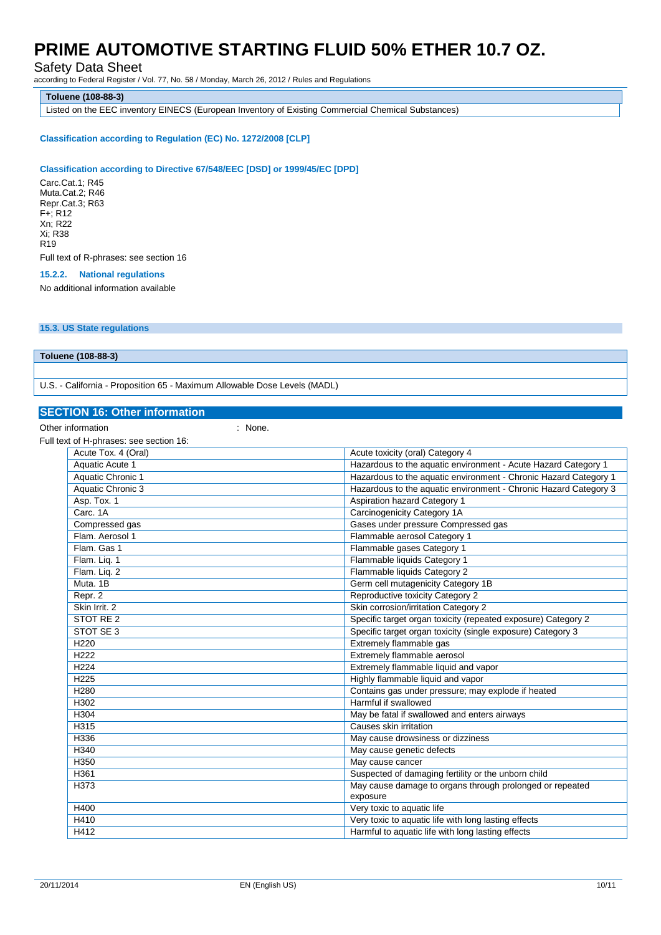Safety Data Sheet

according to Federal Register / Vol. 77, No. 58 / Monday, March 26, 2012 / Rules and Regulations

**Toluene (108-88-3)**

Listed on the EEC inventory EINECS (European Inventory of Existing Commercial Chemical Substances)

#### **Classification according to Regulation (EC) No. 1272/2008 [CLP]**

#### **Classification according to Directive 67/548/EEC [DSD] or 1999/45/EC [DPD]**

Carc.Cat.1; R45 Muta.Cat.2; R46 Repr.Cat.3; R63 F+; R12 Xn; R22 Xi; R38 R19 Full text of R-phrases: see section 16

#### **15.2.2. National regulations**

No additional information available

#### **15.3. US State regulations**

**Toluene (108-88-3)**

U.S. - California - Proposition 65 - Maximum Allowable Dose Levels (MADL)

#### **SECTION 16: Other information**

Other information in the set of the set of the set of the set of the set of the set of the set of the set of the set of the set of the set of the set of the set of the set of the set of the set of the set of the set of the

| Full text of H-phrases: see section 16: |                                                                  |
|-----------------------------------------|------------------------------------------------------------------|
| Acute Tox. 4 (Oral)                     | Acute toxicity (oral) Category 4                                 |
| Aquatic Acute 1                         | Hazardous to the aquatic environment - Acute Hazard Category 1   |
| Aquatic Chronic 1                       | Hazardous to the aquatic environment - Chronic Hazard Category 1 |
| <b>Aquatic Chronic 3</b>                | Hazardous to the aquatic environment - Chronic Hazard Category 3 |
| Asp. Tox. 1                             | <b>Aspiration hazard Category 1</b>                              |
| Carc, 1A                                | Carcinogenicity Category 1A                                      |
| Compressed gas                          | Gases under pressure Compressed gas                              |
| Flam. Aerosol 1                         | Flammable aerosol Category 1                                     |
| Flam, Gas 1                             | Flammable gases Category 1                                       |
| Flam. Lig. 1                            | Flammable liquids Category 1                                     |
| Flam. Lig. 2                            | Flammable liquids Category 2                                     |
| Muta, 1B                                | Germ cell mutagenicity Category 1B                               |
| Repr. 2                                 | Reproductive toxicity Category 2                                 |
| Skin Irrit. 2                           | Skin corrosion/irritation Category 2                             |
| STOT RE 2                               | Specific target organ toxicity (repeated exposure) Category 2    |
| STOT SE 3                               | Specific target organ toxicity (single exposure) Category 3      |
| H <sub>220</sub>                        | Extremely flammable gas                                          |
| H <sub>222</sub>                        | Extremely flammable aerosol                                      |
| H <sub>224</sub>                        | Extremely flammable liquid and vapor                             |
| H <sub>225</sub>                        | Highly flammable liquid and vapor                                |
| <b>H280</b>                             | Contains gas under pressure; may explode if heated               |
| H302                                    | Harmful if swallowed                                             |
| H304                                    | May be fatal if swallowed and enters airways                     |
| H315                                    | Causes skin irritation                                           |
| H336                                    | May cause drowsiness or dizziness                                |
| H340                                    | May cause genetic defects                                        |
| H <sub>350</sub>                        | May cause cancer                                                 |
| H361                                    | Suspected of damaging fertility or the unborn child              |
| H373                                    | May cause damage to organs through prolonged or repeated         |
|                                         | exposure                                                         |
| H400                                    | Very toxic to aquatic life                                       |
| <b>H410</b>                             | Very toxic to aquatic life with long lasting effects             |
| H412                                    | Harmful to aquatic life with long lasting effects                |